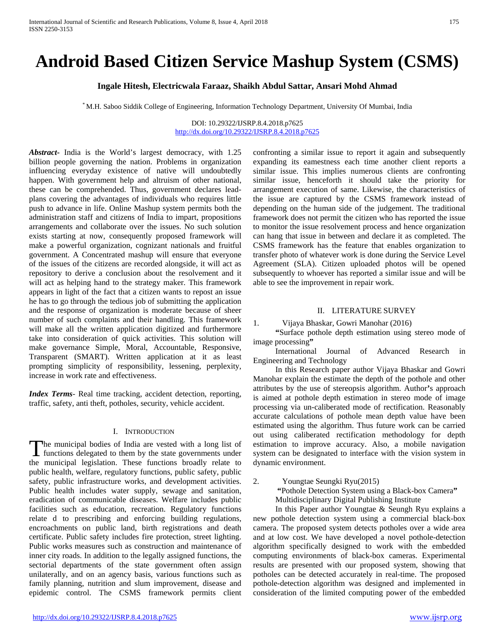# **Android Based Citizen Service Mashup System (CSMS)**

### **Ingale Hitesh, Electricwala Faraaz, Shaikh Abdul Sattar, Ansari Mohd Ahmad**

\* M.H. Saboo Siddik College of Engineering, Information Technology Department, University Of Mumbai, India

DOI: 10.29322/IJSRP.8.4.2018.p7625 <http://dx.doi.org/10.29322/IJSRP.8.4.2018.p7625>

*Abstract***-** India is the World's largest democracy, with 1.25 billion people governing the nation. Problems in organization influencing everyday existence of native will undoubtedly happen. With government help and altruism of other national, these can be comprehended. Thus, government declares leadplans covering the advantages of individuals who requires little push to advance in life. Online Mashup system permits both the administration staff and citizens of India to impart, propositions arrangements and collaborate over the issues. No such solution exists starting at now, consequently proposed framework will make a powerful organization, cognizant nationals and fruitful government. A Concentrated mashup will ensure that everyone of the issues of the citizens are recorded alongside, it will act as repository to derive a conclusion about the resolvement and it will act as helping hand to the strategy maker. This framework appears in light of the fact that a citizen wants to repost an issue he has to go through the tedious job of submitting the application and the response of organization is moderate because of sheer number of such complaints and their handling. This framework will make all the written application digitized and furthermore take into consideration of quick activities. This solution will make governance Simple, Moral, Accountable, Responsive, Transparent (SMART). Written application at it as least prompting simplicity of responsibility, lessening, perplexity, increase in work rate and effectiveness.

*Index Terms*- Real time tracking, accident detection, reporting, traffic, safety, anti theft, potholes, security, vehicle accident.

### I. INTRODUCTION

he municipal bodies of India are vested with a long list of The municipal bodies of India are vested with a long list of functions delegated to them by the state governments under the municipal legislation. These functions broadly relate to public health, welfare, regulatory functions, public safety, public safety, public infrastructure works, and development activities. Public health includes water supply, sewage and sanitation, eradication of communicable diseases. Welfare includes public facilities such as education, recreation. Regulatory functions relate d to prescribing and enforcing building regulations, encroachments on public land, birth registrations and death certificate. Public safety includes fire protection, street lighting. Public works measures such as construction and maintenance of inner city roads. In addition to the legally assigned functions, the sectorial departments of the state government often assign unilaterally, and on an agency basis, various functions such as family planning, nutrition and slum improvement, disease and epidemic control. The CSMS framework permits client

confronting a similar issue to report it again and subsequently expanding its eamestness each time another client reports a similar issue. This implies numerous clients are confronting similar issue, henceforth it should take the priority for arrangement execution of same. Likewise, the characteristics of the issue are captured by the CSMS framework instead of depending on the human side of the judgement. The traditional framework does not permit the citizen who has reported the issue to monitor the issue resolvement process and hence organization can hang that issue in between and declare it as completed. The CSMS framework has the feature that enables organization to transfer photo of whatever work is done during the Service Level Agreement (SLA). Citizen uploaded photos will be opened subsequently to whoever has reported a similar issue and will be able to see the improvement in repair work.

### II. LITERATURE SURVEY

1. Vijaya Bhaskar, Gowri Manohar (2016)

 **"**Surface pothole depth estimation using stereo mode of image processing**"**

International Journal of Advanced Research in Engineering and Technology

In this Research paper author Vijaya Bhaskar and Gowri Manohar explain the estimate the depth of the pothole and other attributes by the use of stereopsis algorithm. Author**'**s approach is aimed at pothole depth estimation in stereo mode of image processing via un-caliberated mode of rectification. Reasonably accurate calculations of pothole mean depth value have been estimated using the algorithm. Thus future work can be carried out using caliberated rectification methodology for depth estimation to improve accuracy. Also, a mobile navigation system can be designated to interface with the vision system in dynamic environment.

2. Youngtae Seungki Ryu(2015)  **"**Pothole Detection System using a Black-box Camera**"**

Multidisciplinary Digital Publishing Institute

In this Paper author Youngtae & Seungh Ryu explains a new pothole detection system using a commercial black-box camera. The proposed system detects potholes over a wide area and at low cost. We have developed a novel pothole-detection algorithm specifically designed to work with the embedded computing environments of black-box cameras. Experimental results are presented with our proposed system, showing that potholes can be detected accurately in real-time. The proposed pothole-detection algorithm was designed and implemented in consideration of the limited computing power of the embedded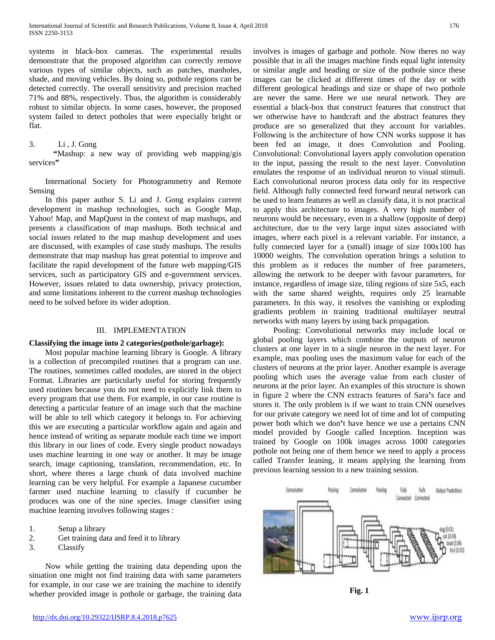systems in black-box cameras. The experimental results demonstrate that the proposed algorithm can correctly remove various types of similar objects, such as patches, manholes, shade, and moving vehicles. By doing so, pothole regions can be detected correctly. The overall sensitivity and precision reached 71% and 88%, respectively. Thus, the algorithm is considerably robust to similar objects. In some cases, however, the proposed system failed to detect potholes that were especially bright or flat.

### 3. Li , J. Gong

 **"**Mashup: a new way of providing web mapping/gis services**"**

 International Society for Photogrammetry and Remote Sensing

 In this paper author S. Li and J. Gong explains current development in mashup technologies, such as Google Map, Yahoo! Map, and MapQuest in the context of map mashups, and presents a classification of map mashups. Both technical and social issues related to the map mashup development and uses are discussed, with examples of case study mashups. The results demonstrate that map mashup has great potential to improve and facilitate the rapid development of the future web mapping/GIS services, such as participatory GIS and e-government services. However, issues related to data ownership, privacy protection, and some limitations inherent to the current mashup technologies need to be solved before its wider adoption.

### III. IMPLEMENTATION

### **Classifying the image into 2 categories(pothole/garbage):**

 Most popular machine learning library is Google. A library is a collection of precompiled routines that a program can use. The routines, sometimes called modules, are stored in the object Format. Libraries are particularly useful for storing frequently used routines because you do not need to explicitly link them to every program that use them. For example, in our case routine is detecting a particular feature of an image such that the machine will be able to tell which category it belongs to. For achieving this we are executing a particular workflow again and again and hence instead of writing as separate module each time we import this library in our lines of code. Every single product nowadays uses machine learning in one way or another. It may be image search, image captioning, translation, recommendation, etc. In short, where theres a large chunk of data involved machine learning can be very helpful. For example a Japanese cucumber farmer used machine learning to classify if cucumber he produces was one of the nine species. Image classifier using machine learning involves following stages :

- 1. Setup a library
- 2. Get training data and feed it to library
- 3. Classify

 Now while getting the training data depending upon the situation one might not find training data with same parameters for example, in our case we are training the machine to identify whether provided image is pothole or garbage, the training data involves is images of garbage and pothole. Now theres no way possible that in all the images machine finds equal light intensity or similar angle and heading or size of the pothole since these images can be clicked at different times of the day or with different geological headings and size or shape of two pothole are never the same. Here we use neural network. They are essential a black-box that construct features that construct that we otherwise have to handcraft and the abstract features they produce are so generalized that they account for variables. Following is the architecture of how CNN works suppose it has been fed an image, it does Convolution and Pooling. Convolutional: Convolutional layers apply convolution operation to the input, passing the result to the next layer. Convolution emulates the response of an individual neuron to visual stimuli. Each convolutional neuron process data only for its respective field. Although fully connected feed forward neural network can be used to learn features as well as classify data, it is not practical to apply this architecture to images. A very high number of neurons would be necessary, even in a shallow (opposite of deep) architecture, due to the very large input sizes associated with images, where each pixel is a relevant variable. For instance, a fully connected layer for a (small) image of size 100x100 has 10000 weights. The convolution operation brings a solution to this problem as it reduces the number of free parameters, allowing the network to be deeper with favour parameters, for instance, regardless of image size, tiling regions of size 5x5, each with the same shared weights, requires only 25 learnable parameters. In this way, it resolves the vanishing or exploding gradients problem in training traditional multilayer neutral networks with many layers by using back propagation.

 Pooling: Convolutional networks may include local or global pooling layers which combine the outputs of neuron clusters at one layer in to a single neuron in the next layer. For example, max pooling uses the maximum value for each of the clusters of neurons at the prior layer. Another example is average pooling which uses the average value from each cluster of neurons at the prior layer. An examples of this structure is shown in figure 2 where the CNN extracts features of Sara**'**s face and stores it. The only problem is if we want to train CNN ourselves for our private category we need lot of time and lot of computing power both which we don**'**t have hence we use a pertains CNN model provided by Google called Inception. Inception was trained by Google on 100k images across 1000 categories pothole not being one of them hence we need to apply a process called Transfer leaning, it means applying the learning from previous learning session to a new training session.



**Fig. 1**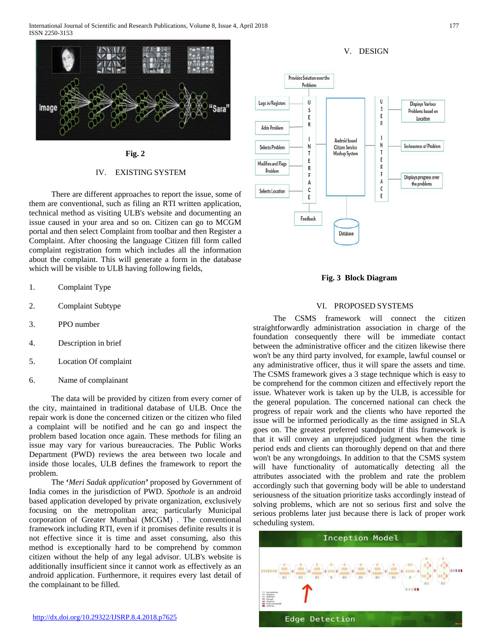International Journal of Scientific and Research Publications, Volume 8, Issue 4, April 2018 177 ISSN 2250-3153



### **Fig. 2**

### IV. EXISTING SYSTEM

 There are different approaches to report the issue, some of them are conventional, such as filing an RTI written application, technical method as visiting ULB's website and documenting an issue caused in your area and so on. Citizen can go to MCGM portal and then select Complaint from toolbar and then Register a Complaint. After choosing the language Citizen fill form called complaint registration form which includes all the information about the complaint. This will generate a form in the database which will be visible to ULB having following fields,

- 1. Complaint Type
- 2. Complaint Subtype
- 3. PPO number
- 4. Description in brief
- 5. Location Of complaint
- 6. Name of complainant

 The data will be provided by citizen from every corner of the city, maintained in traditional database of ULB. Once the repair work is done the concerned citizen or the citizen who filed a complaint will be notified and he can go and inspect the problem based location once again. These methods for filing an issue may vary for various bureaucracies. The Public Works Department (PWD) reviews the area between two locale and inside those locales, ULB defines the framework to report the problem.

 The **'***Meri Sadak application'* proposed by Government of India comes in the jurisdiction of PWD. *Spothole* is an android based application developed by private organization, exclusively focusing on the metropolitan area; particularly Municipal corporation of Greater Mumbai (MCGM) . The conventional framework including RTI, even if it promises definite results it is not effective since it is time and asset consuming, also this method is exceptionally hard to be comprehend by common citizen without the help of any legal advisor. ULB's website is additionally insufficient since it cannot work as effectively as an android application. Furthermore, it requires every last detail of the complainant to be filled.

# V. DESIGN



**Fig. 3 Block Diagram**

### VI. PROPOSED SYSTEMS

 The CSMS framework will connect the citizen straightforwardly administration association in charge of the foundation consequently there will be immediate contact between the administrative officer and the citizen likewise there won't be any third party involved, for example, lawful counsel or any administrative officer, thus it will spare the assets and time. The CSMS framework gives a 3 stage technique which is easy to be comprehend for the common citizen and effectively report the issue. Whatever work is taken up by the ULB, is accessible for the general population. The concerned national can check the progress of repair work and the clients who have reported the issue will be informed periodically as the time assigned in SLA goes on. The greatest preferred standpoint if this framework is that it will convey an unprejudiced judgment when the time period ends and clients can thoroughly depend on that and there won't be any wrongdoings. In addition to that the CSMS system will have functionality of automatically detecting all the attributes associated with the problem and rate the problem accordingly such that governing body will be able to understand seriousness of the situation prioritize tasks accordingly instead of solving problems, which are not so serious first and solve the serious problems later just because there is lack of proper work scheduling system.

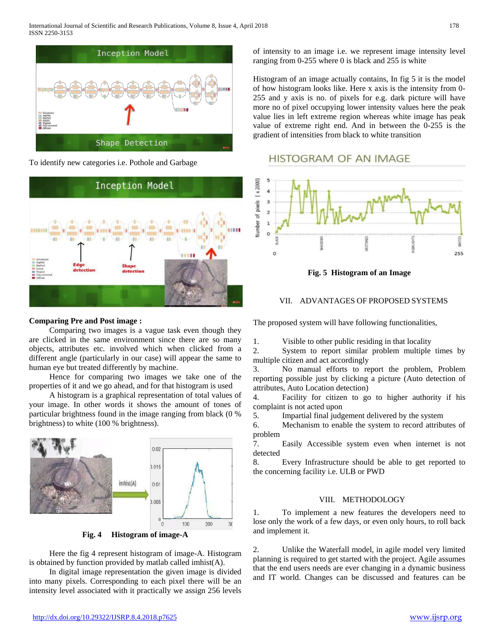

To identify new categories i.e. Pothole and Garbage



### **Comparing Pre and Post image :**

 Comparing two images is a vague task even though they are clicked in the same environment since there are so many objects, attributes etc. involved which when clicked from a different angle (particularly in our case) will appear the same to human eye but treated differently by machine.

 Hence for comparing two images we take one of the properties of it and we go ahead, and for that histogram is used

 A histogram is a graphical representation of total values of your image. In other words it shows the amount of tones of particular brightness found in the image ranging from black (0 % brightness) to white (100 % brightness).



**Fig. 4 Histogram of image-A**

 Here the fig 4 represent histogram of image-A. Histogram is obtained by function provided by matlab called imhist $(A)$ .

 In digital image representation the given image is divided into many pixels. Corresponding to each pixel there will be an intensity level associated with it practically we assign 256 levels

of intensity to an image i.e. we represent image intensity level ranging from 0-255 where 0 is black and 255 is white

Histogram of an image actually contains, In fig 5 it is the model of how histogram looks like. Here x axis is the intensity from 0- 255 and y axis is no. of pixels for e.g. dark picture will have more no of pixel occupying lower intensity values here the peak value lies in left extreme region whereas white image has peak value of extreme right end. And in between the 0-255 is the gradient of intensities from black to white transition

# **HISTOGRAM OF AN IMAGE**



**Fig. 5 Histogram of an Image**

### VII. ADVANTAGES OF PROPOSED SYSTEMS

The proposed system will have following functionalities,

1. Visible to other public residing in that locality

2. System to report similar problem multiple times by multiple citizen and act accordingly

3. No manual efforts to report the problem, Problem reporting possible just by clicking a picture (Auto detection of attributes, Auto Location detection)

4. Facility for citizen to go to higher authority if his complaint is not acted upon

5. Impartial final judgement delivered by the system

6. Mechanism to enable the system to record attributes of problem

7. Easily Accessible system even when internet is not detected

8. Every Infrastructure should be able to get reported to the concerning facility i.e. ULB or PWD

## VIII. METHODOLOGY

1. To implement a new features the developers need to lose only the work of a few days, or even only hours, to roll back and implement it.

2. Unlike the Waterfall model, in agile model very limited planning is required to get started with the project. Agile assumes that the end users needs are ever changing in a dynamic business and IT world. Changes can be discussed and features can be